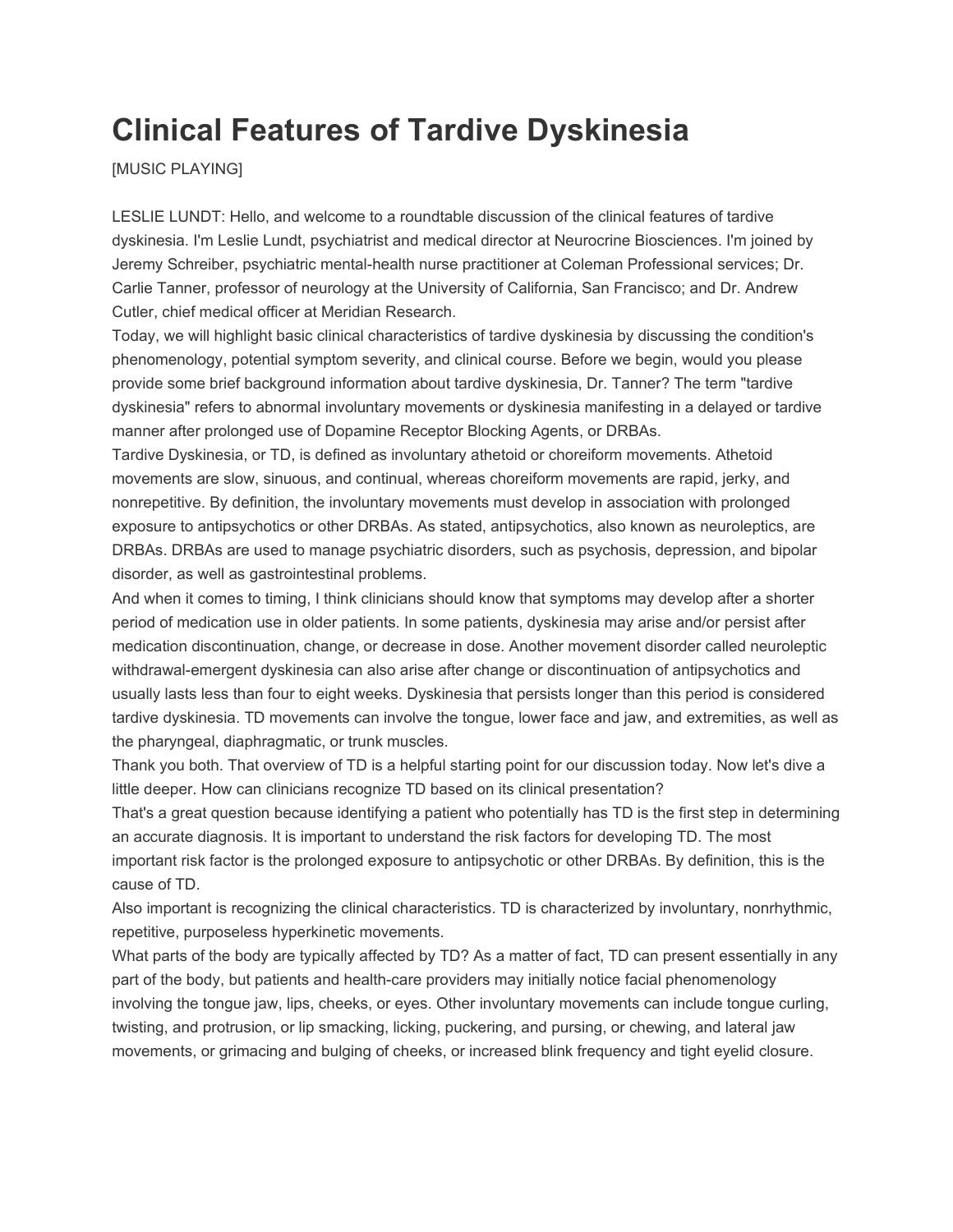## **Clinical Features of Tardive Dyskinesia**

[MUSIC PLAYING]

LESLIE LUNDT: Hello, and welcome to a roundtable discussion of the clinical features of tardive dyskinesia. I'm Leslie Lundt, psychiatrist and medical director at Neurocrine Biosciences. I'm joined by Jeremy Schreiber, psychiatric mental-health nurse practitioner at Coleman Professional services; Dr. Carlie Tanner, professor of neurology at the University of California, San Francisco; and Dr. Andrew Cutler, chief medical officer at Meridian Research.

Today, we will highlight basic clinical characteristics of tardive dyskinesia by discussing the condition's phenomenology, potential symptom severity, and clinical course. Before we begin, would you please provide some brief background information about tardive dyskinesia, Dr. Tanner? The term "tardive dyskinesia" refers to abnormal involuntary movements or dyskinesia manifesting in a delayed or tardive manner after prolonged use of Dopamine Receptor Blocking Agents, or DRBAs.

Tardive Dyskinesia, or TD, is defined as involuntary athetoid or choreiform movements. Athetoid movements are slow, sinuous, and continual, whereas choreiform movements are rapid, jerky, and nonrepetitive. By definition, the involuntary movements must develop in association with prolonged exposure to antipsychotics or other DRBAs. As stated, antipsychotics, also known as neuroleptics, are DRBAs. DRBAs are used to manage psychiatric disorders, such as psychosis, depression, and bipolar disorder, as well as gastrointestinal problems.

And when it comes to timing, I think clinicians should know that symptoms may develop after a shorter period of medication use in older patients. In some patients, dyskinesia may arise and/or persist after medication discontinuation, change, or decrease in dose. Another movement disorder called neuroleptic withdrawal-emergent dyskinesia can also arise after change or discontinuation of antipsychotics and usually lasts less than four to eight weeks. Dyskinesia that persists longer than this period is considered tardive dyskinesia. TD movements can involve the tongue, lower face and jaw, and extremities, as well as the pharyngeal, diaphragmatic, or trunk muscles.

Thank you both. That overview of TD is a helpful starting point for our discussion today. Now let's dive a little deeper. How can clinicians recognize TD based on its clinical presentation?

That's a great question because identifying a patient who potentially has TD is the first step in determining an accurate diagnosis. It is important to understand the risk factors for developing TD. The most important risk factor is the prolonged exposure to antipsychotic or other DRBAs. By definition, this is the cause of TD.

Also important is recognizing the clinical characteristics. TD is characterized by involuntary, nonrhythmic, repetitive, purposeless hyperkinetic movements.

What parts of the body are typically affected by TD? As a matter of fact, TD can present essentially in any part of the body, but patients and health-care providers may initially notice facial phenomenology involving the tongue jaw, lips, cheeks, or eyes. Other involuntary movements can include tongue curling, twisting, and protrusion, or lip smacking, licking, puckering, and pursing, or chewing, and lateral jaw movements, or grimacing and bulging of cheeks, or increased blink frequency and tight eyelid closure.